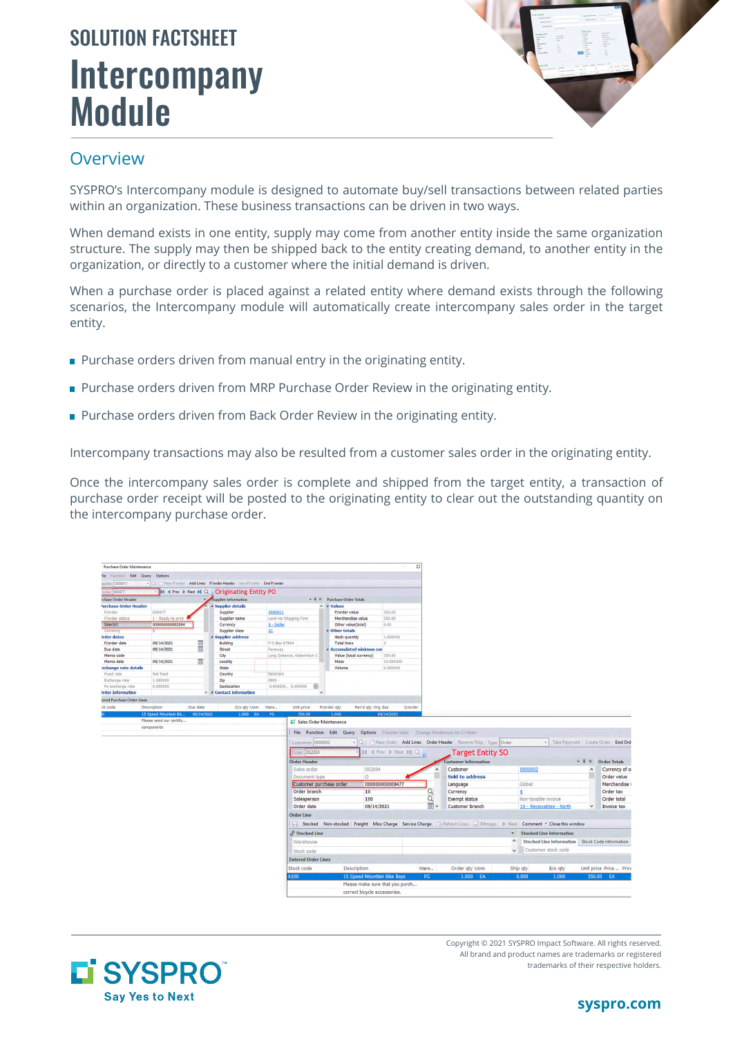# **Intercompany** Module SOLUTION FACTSHEET



#### **Overview**

SYSPRO's Intercompany module is designed to automate buy/sell transactions between related parties within an organization. These business transactions can be driven in two ways.

When demand exists in one entity, supply may come from another entity inside the same organization structure. The supply may then be shipped back to the entity creating demand, to another entity in the organization, or directly to a customer where the initial demand is driven.

When a purchase order is placed against a related entity where demand exists through the following scenarios, the Intercompany module will automatically create intercompany sales order in the target entity.

- **Purchase orders driven from manual entry in the originating entity.**
- **Purchase orders driven from MRP Purchase Order Review in the originating entity.**
- **Purchase orders driven from Back Order Review in the originating entity.**

Intercompany transactions may also be resulted from a customer sales order in the originating entity.

Once the intercompany sales order is complete and shipped from the target entity, a transaction of purchase order receipt will be posted to the originating entity to clear out the outstanding quantity on the intercompany purchase order.





Copyright © 2021 SYSPRO Impact Software. All rights reserved. All brand and product names are trademarks or registered trademarks of their respective holders.

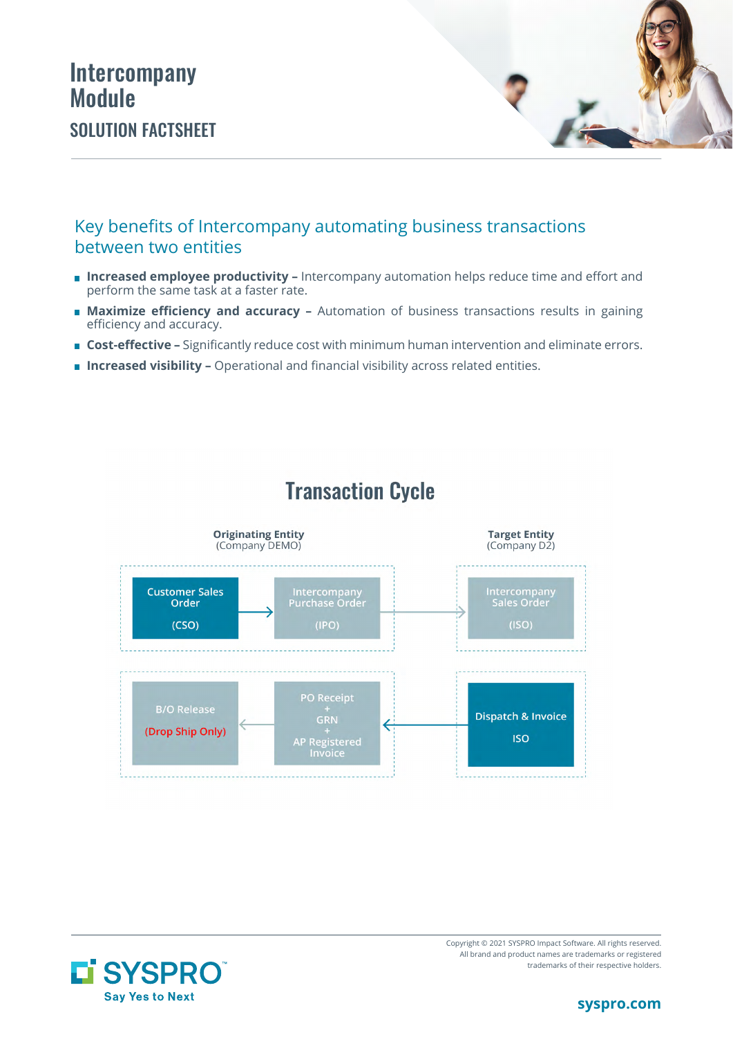## Intercompany Module SOLUTION FACTSHEET



#### Key benefits of Intercompany automating business transactions between two entities

- **Increased employee productivity –** Intercompany automation helps reduce time and effort and perform the same task at a faster rate.
- **Maximize efficiency and accuracy -** Automation of business transactions results in gaining efficiency and accuracy.
- **Cost-effective –** Significantly reduce cost with minimum human intervention and eliminate errors.
- **Increased visibility -** Operational and financial visibility across related entities.



# **Transaction Cycle**



Copyright © 2021 SYSPRO Impact Software. All rights reserved. All brand and product names are trademarks or registered trademarks of their respective holders.